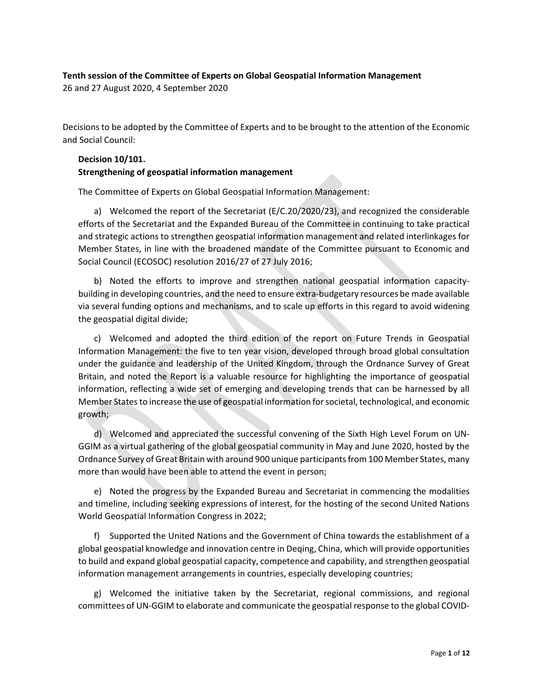# Tenth session of the Committee of Experts on Global Geospatial Information Management

26 and 27 August 2020, 4 September 2020

Decisions to be adopted by the Committee of Experts and to be brought to the attention of the Economic and Social Council:

# Decision 10/101. Strengthening of geospatial information management

The Committee of Experts on Global Geospatial Information Management:

a) Welcomed the report of the Secretariat (E/C.20/2020/23), and recognized the considerable efforts of the Secretariat and the Expanded Bureau of the Committee in continuing to take practical and strategic actions to strengthen geospatial information management and related interlinkages for Member States, in line with the broadened mandate of the Committee pursuant to Economic and Social Council (ECOSOC) resolution 2016/27 of 27 July 2016;

b) Noted the efforts to improve and strengthen national geospatial information capacitybuilding in developing countries, and the need to ensure extra-budgetary resources be made available via several funding options and mechanisms, and to scale up efforts in this regard to avoid widening the geospatial digital divide;

c) Welcomed and adopted the third edition of the report on Future Trends in Geospatial Information Management: the five to ten year vision, developed through broad global consultation under the guidance and leadership of the United Kingdom, through the Ordnance Survey of Great Britain, and noted the Report is a valuable resource for highlighting the importance of geospatial information, reflecting a wide set of emerging and developing trends that can be harnessed by all Member States to increase the use of geospatial information for societal, technological, and economic growth;

d) Welcomed and appreciated the successful convening of the Sixth High Level Forum on UN-GGIM as a virtual gathering of the global geospatial community in May and June 2020, hosted by the Ordnance Survey of Great Britain with around 900 unique participants from 100 Member States, many more than would have been able to attend the event in person;

e) Noted the progress by the Expanded Bureau and Secretariat in commencing the modalities and timeline, including seeking expressions of interest, for the hosting of the second United Nations World Geospatial Information Congress in 2022;

f) Supported the United Nations and the Government of China towards the establishment of a global geospatial knowledge and innovation centre in Deqing, China, which will provide opportunities to build and expand global geospatial capacity, competence and capability, and strengthen geospatial information management arrangements in countries, especially developing countries;

g) Welcomed the initiative taken by the Secretariat, regional commissions, and regional committees of UN-GGIM to elaborate and communicate the geospatial response to the global COVID-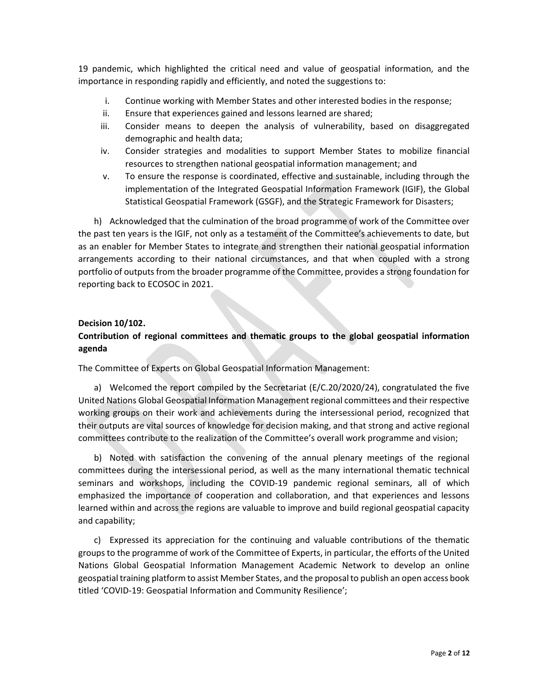19 pandemic, which highlighted the critical need and value of geospatial information, and the importance in responding rapidly and efficiently, and noted the suggestions to:

- i. Continue working with Member States and other interested bodies in the response;
- ii. Ensure that experiences gained and lessons learned are shared;
- iii. Consider means to deepen the analysis of vulnerability, based on disaggregated demographic and health data;
- iv. Consider strategies and modalities to support Member States to mobilize financial resources to strengthen national geospatial information management; and
- v. To ensure the response is coordinated, effective and sustainable, including through the implementation of the Integrated Geospatial Information Framework (IGIF), the Global Statistical Geospatial Framework (GSGF), and the Strategic Framework for Disasters;

h) Acknowledged that the culmination of the broad programme of work of the Committee over the past ten years is the IGIF, not only as a testament of the Committee's achievements to date, but as an enabler for Member States to integrate and strengthen their national geospatial information arrangements according to their national circumstances, and that when coupled with a strong portfolio of outputs from the broader programme of the Committee, provides a strong foundation for reporting back to ECOSOC in 2021.

### Decision 10/102.

# Contribution of regional committees and thematic groups to the global geospatial information agenda

The Committee of Experts on Global Geospatial Information Management:

a) Welcomed the report compiled by the Secretariat (E/C.20/2020/24), congratulated the five United Nations Global Geospatial Information Management regional committees and their respective working groups on their work and achievements during the intersessional period, recognized that their outputs are vital sources of knowledge for decision making, and that strong and active regional committees contribute to the realization of the Committee's overall work programme and vision;

b) Noted with satisfaction the convening of the annual plenary meetings of the regional committees during the intersessional period, as well as the many international thematic technical seminars and workshops, including the COVID-19 pandemic regional seminars, all of which emphasized the importance of cooperation and collaboration, and that experiences and lessons learned within and across the regions are valuable to improve and build regional geospatial capacity and capability;

c) Expressed its appreciation for the continuing and valuable contributions of the thematic groups to the programme of work of the Committee of Experts, in particular, the efforts of the United Nations Global Geospatial Information Management Academic Network to develop an online geospatial training platform to assist Member States, and the proposal to publish an open access book titled 'COVID-19: Geospatial Information and Community Resilience';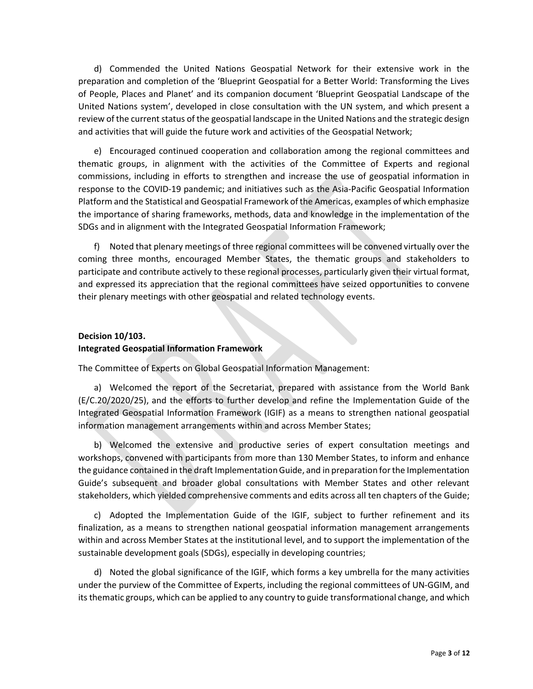d) Commended the United Nations Geospatial Network for their extensive work in the preparation and completion of the 'Blueprint Geospatial for a Better World: Transforming the Lives of People, Places and Planet' and its companion document 'Blueprint Geospatial Landscape of the United Nations system', developed in close consultation with the UN system, and which present a review of the current status of the geospatial landscape in the United Nations and the strategic design and activities that will guide the future work and activities of the Geospatial Network;

e) Encouraged continued cooperation and collaboration among the regional committees and thematic groups, in alignment with the activities of the Committee of Experts and regional commissions, including in efforts to strengthen and increase the use of geospatial information in response to the COVID-19 pandemic; and initiatives such as the Asia-Pacific Geospatial Information Platform and the Statistical and Geospatial Framework of the Americas, examples of which emphasize the importance of sharing frameworks, methods, data and knowledge in the implementation of the SDGs and in alignment with the Integrated Geospatial Information Framework;

f) Noted that plenary meetings of three regional committees will be convened virtually over the coming three months, encouraged Member States, the thematic groups and stakeholders to participate and contribute actively to these regional processes, particularly given their virtual format, and expressed its appreciation that the regional committees have seized opportunities to convene their plenary meetings with other geospatial and related technology events.

### Decision 10/103.

### Integrated Geospatial Information Framework

The Committee of Experts on Global Geospatial Information Management:

a) Welcomed the report of the Secretariat, prepared with assistance from the World Bank (E/C.20/2020/25), and the efforts to further develop and refine the Implementation Guide of the Integrated Geospatial Information Framework (IGIF) as a means to strengthen national geospatial information management arrangements within and across Member States;

b) Welcomed the extensive and productive series of expert consultation meetings and workshops, convened with participants from more than 130 Member States, to inform and enhance the guidance contained in the draft Implementation Guide, and in preparation for the Implementation Guide's subsequent and broader global consultations with Member States and other relevant stakeholders, which yielded comprehensive comments and edits across all ten chapters of the Guide;

c) Adopted the Implementation Guide of the IGIF, subject to further refinement and its finalization, as a means to strengthen national geospatial information management arrangements within and across Member States at the institutional level, and to support the implementation of the sustainable development goals (SDGs), especially in developing countries;

d) Noted the global significance of the IGIF, which forms a key umbrella for the many activities under the purview of the Committee of Experts, including the regional committees of UN-GGIM, and its thematic groups, which can be applied to any country to guide transformational change, and which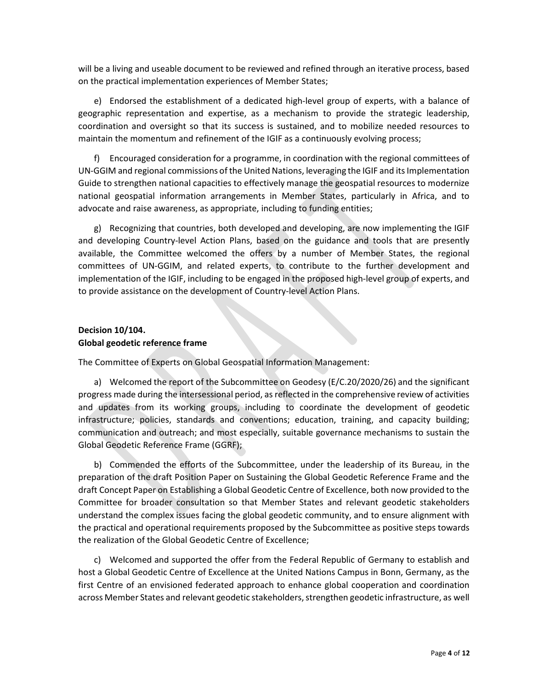will be a living and useable document to be reviewed and refined through an iterative process, based on the practical implementation experiences of Member States;

e) Endorsed the establishment of a dedicated high-level group of experts, with a balance of geographic representation and expertise, as a mechanism to provide the strategic leadership, coordination and oversight so that its success is sustained, and to mobilize needed resources to maintain the momentum and refinement of the IGIF as a continuously evolving process;

f) Encouraged consideration for a programme, in coordination with the regional committees of UN-GGIM and regional commissions of the United Nations, leveraging the IGIF and its Implementation Guide to strengthen national capacities to effectively manage the geospatial resources to modernize national geospatial information arrangements in Member States, particularly in Africa, and to advocate and raise awareness, as appropriate, including to funding entities;

g) Recognizing that countries, both developed and developing, are now implementing the IGIF and developing Country-level Action Plans, based on the guidance and tools that are presently available, the Committee welcomed the offers by a number of Member States, the regional committees of UN-GGIM, and related experts, to contribute to the further development and implementation of the IGIF, including to be engaged in the proposed high-level group of experts, and to provide assistance on the development of Country-level Action Plans.

## Decision 10/104. Global geodetic reference frame

The Committee of Experts on Global Geospatial Information Management:

a) Welcomed the report of the Subcommittee on Geodesy (E/C.20/2020/26) and the significant progress made during the intersessional period, as reflected in the comprehensive review of activities and updates from its working groups, including to coordinate the development of geodetic infrastructure; policies, standards and conventions; education, training, and capacity building; communication and outreach; and most especially, suitable governance mechanisms to sustain the Global Geodetic Reference Frame (GGRF);

b) Commended the efforts of the Subcommittee, under the leadership of its Bureau, in the preparation of the draft Position Paper on Sustaining the Global Geodetic Reference Frame and the draft Concept Paper on Establishing a Global Geodetic Centre of Excellence, both now provided to the Committee for broader consultation so that Member States and relevant geodetic stakeholders understand the complex issues facing the global geodetic community, and to ensure alignment with the practical and operational requirements proposed by the Subcommittee as positive steps towards the realization of the Global Geodetic Centre of Excellence;

c) Welcomed and supported the offer from the Federal Republic of Germany to establish and host a Global Geodetic Centre of Excellence at the United Nations Campus in Bonn, Germany, as the first Centre of an envisioned federated approach to enhance global cooperation and coordination across Member States and relevant geodetic stakeholders, strengthen geodetic infrastructure, as well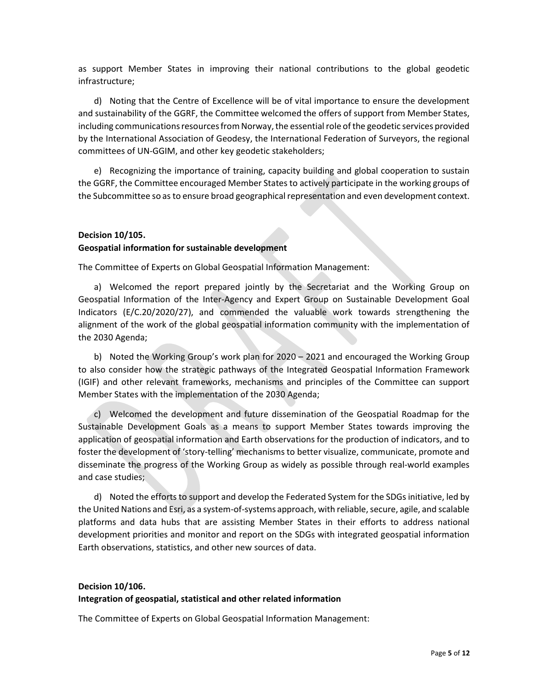as support Member States in improving their national contributions to the global geodetic infrastructure;

d) Noting that the Centre of Excellence will be of vital importance to ensure the development and sustainability of the GGRF, the Committee welcomed the offers of support from Member States, including communications resources from Norway, the essential role of the geodetic services provided by the International Association of Geodesy, the International Federation of Surveyors, the regional committees of UN-GGIM, and other key geodetic stakeholders;

e) Recognizing the importance of training, capacity building and global cooperation to sustain the GGRF, the Committee encouraged Member States to actively participate in the working groups of the Subcommittee so as to ensure broad geographical representation and even development context.

## Decision 10/105. Geospatial information for sustainable development

The Committee of Experts on Global Geospatial Information Management:

a) Welcomed the report prepared jointly by the Secretariat and the Working Group on Geospatial Information of the Inter-Agency and Expert Group on Sustainable Development Goal Indicators (E/C.20/2020/27), and commended the valuable work towards strengthening the alignment of the work of the global geospatial information community with the implementation of the 2030 Agenda;

b) Noted the Working Group's work plan for 2020 – 2021 and encouraged the Working Group to also consider how the strategic pathways of the Integrated Geospatial Information Framework (IGIF) and other relevant frameworks, mechanisms and principles of the Committee can support Member States with the implementation of the 2030 Agenda;

c) Welcomed the development and future dissemination of the Geospatial Roadmap for the Sustainable Development Goals as a means to support Member States towards improving the application of geospatial information and Earth observations for the production of indicators, and to foster the development of 'story-telling' mechanisms to better visualize, communicate, promote and disseminate the progress of the Working Group as widely as possible through real-world examples and case studies;

d) Noted the efforts to support and develop the Federated System for the SDGs initiative, led by the United Nations and Esri, as a system-of-systems approach, with reliable, secure, agile, and scalable platforms and data hubs that are assisting Member States in their efforts to address national development priorities and monitor and report on the SDGs with integrated geospatial information Earth observations, statistics, and other new sources of data.

# Decision 10/106. Integration of geospatial, statistical and other related information

The Committee of Experts on Global Geospatial Information Management: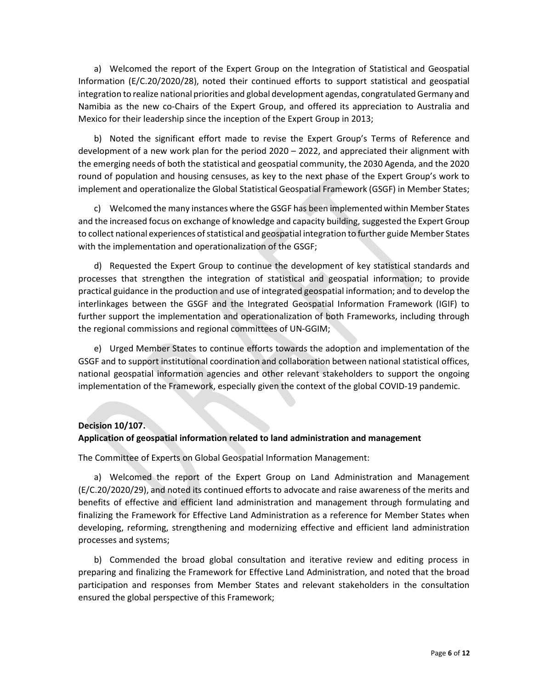a) Welcomed the report of the Expert Group on the Integration of Statistical and Geospatial Information (E/C.20/2020/28), noted their continued efforts to support statistical and geospatial integration to realize national priorities and global development agendas, congratulated Germany and Namibia as the new co-Chairs of the Expert Group, and offered its appreciation to Australia and Mexico for their leadership since the inception of the Expert Group in 2013;

b) Noted the significant effort made to revise the Expert Group's Terms of Reference and development of a new work plan for the period 2020 – 2022, and appreciated their alignment with the emerging needs of both the statistical and geospatial community, the 2030 Agenda, and the 2020 round of population and housing censuses, as key to the next phase of the Expert Group's work to implement and operationalize the Global Statistical Geospatial Framework (GSGF) in Member States;

c) Welcomed the many instances where the GSGF has been implemented within Member States and the increased focus on exchange of knowledge and capacity building, suggested the Expert Group to collect national experiences of statistical and geospatial integration to further guide Member States with the implementation and operationalization of the GSGF;

d) Requested the Expert Group to continue the development of key statistical standards and processes that strengthen the integration of statistical and geospatial information; to provide practical guidance in the production and use of integrated geospatial information; and to develop the interlinkages between the GSGF and the Integrated Geospatial Information Framework (IGIF) to further support the implementation and operationalization of both Frameworks, including through the regional commissions and regional committees of UN-GGIM;

e) Urged Member States to continue efforts towards the adoption and implementation of the GSGF and to support institutional coordination and collaboration between national statistical offices, national geospatial information agencies and other relevant stakeholders to support the ongoing implementation of the Framework, especially given the context of the global COVID-19 pandemic.

### Decision 10/107.

### Application of geospatial information related to land administration and management

The Committee of Experts on Global Geospatial Information Management:

a) Welcomed the report of the Expert Group on Land Administration and Management (E/C.20/2020/29), and noted its continued efforts to advocate and raise awareness of the merits and benefits of effective and efficient land administration and management through formulating and finalizing the Framework for Effective Land Administration as a reference for Member States when developing, reforming, strengthening and modernizing effective and efficient land administration processes and systems;

b) Commended the broad global consultation and iterative review and editing process in preparing and finalizing the Framework for Effective Land Administration, and noted that the broad participation and responses from Member States and relevant stakeholders in the consultation ensured the global perspective of this Framework;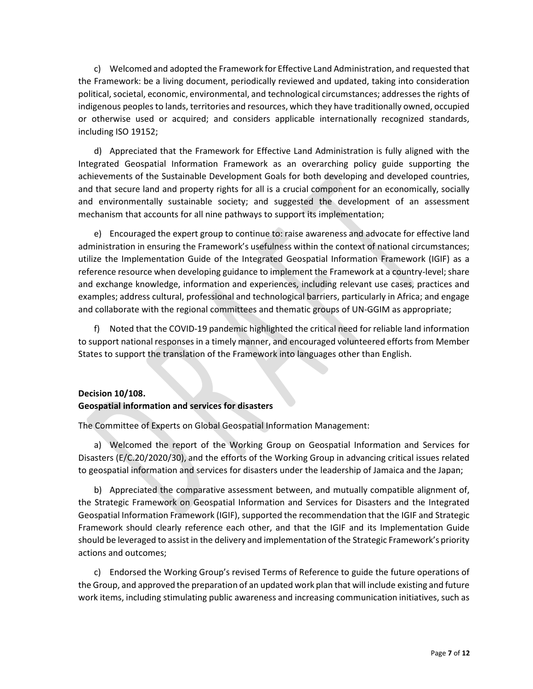c) Welcomed and adopted the Framework for Effective Land Administration, and requested that the Framework: be a living document, periodically reviewed and updated, taking into consideration political, societal, economic, environmental, and technological circumstances; addresses the rights of indigenous peoples to lands, territories and resources, which they have traditionally owned, occupied or otherwise used or acquired; and considers applicable internationally recognized standards, including ISO 19152;

d) Appreciated that the Framework for Effective Land Administration is fully aligned with the Integrated Geospatial Information Framework as an overarching policy guide supporting the achievements of the Sustainable Development Goals for both developing and developed countries, and that secure land and property rights for all is a crucial component for an economically, socially and environmentally sustainable society; and suggested the development of an assessment mechanism that accounts for all nine pathways to support its implementation;

e) Encouraged the expert group to continue to: raise awareness and advocate for effective land administration in ensuring the Framework's usefulness within the context of national circumstances; utilize the Implementation Guide of the Integrated Geospatial Information Framework (IGIF) as a reference resource when developing guidance to implement the Framework at a country-level; share and exchange knowledge, information and experiences, including relevant use cases, practices and examples; address cultural, professional and technological barriers, particularly in Africa; and engage and collaborate with the regional committees and thematic groups of UN-GGIM as appropriate;

f) Noted that the COVID-19 pandemic highlighted the critical need for reliable land information to support national responses in a timely manner, and encouraged volunteered efforts from Member States to support the translation of the Framework into languages other than English.

# Decision 10/108.

### Geospatial information and services for disasters

The Committee of Experts on Global Geospatial Information Management:

a) Welcomed the report of the Working Group on Geospatial Information and Services for Disasters (E/C.20/2020/30), and the efforts of the Working Group in advancing critical issues related to geospatial information and services for disasters under the leadership of Jamaica and the Japan;

b) Appreciated the comparative assessment between, and mutually compatible alignment of, the Strategic Framework on Geospatial Information and Services for Disasters and the Integrated Geospatial Information Framework (IGIF), supported the recommendation that the IGIF and Strategic Framework should clearly reference each other, and that the IGIF and its Implementation Guide should be leveraged to assist in the delivery and implementation of the Strategic Framework's priority actions and outcomes;

c) Endorsed the Working Group's revised Terms of Reference to guide the future operations of the Group, and approved the preparation of an updated work plan that will include existing and future work items, including stimulating public awareness and increasing communication initiatives, such as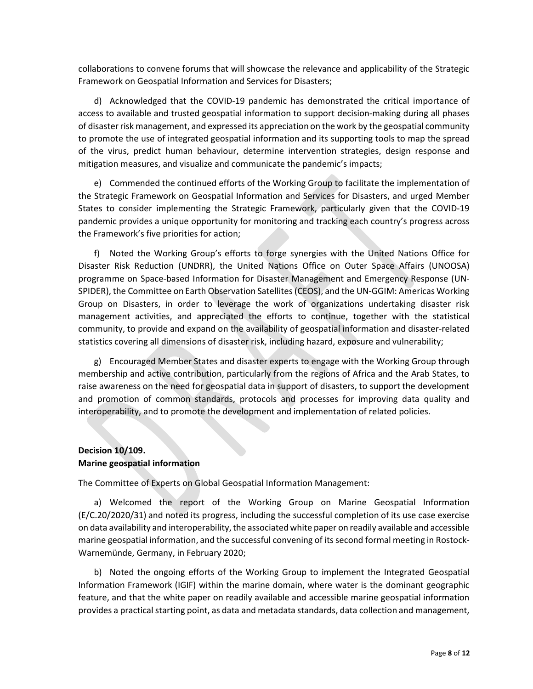collaborations to convene forums that will showcase the relevance and applicability of the Strategic Framework on Geospatial Information and Services for Disasters;

d) Acknowledged that the COVID-19 pandemic has demonstrated the critical importance of access to available and trusted geospatial information to support decision-making during all phases of disaster risk management, and expressed its appreciation on the work by the geospatial community to promote the use of integrated geospatial information and its supporting tools to map the spread of the virus, predict human behaviour, determine intervention strategies, design response and mitigation measures, and visualize and communicate the pandemic's impacts;

e) Commended the continued efforts of the Working Group to facilitate the implementation of the Strategic Framework on Geospatial Information and Services for Disasters, and urged Member States to consider implementing the Strategic Framework, particularly given that the COVID-19 pandemic provides a unique opportunity for monitoring and tracking each country's progress across the Framework's five priorities for action;

f) Noted the Working Group's efforts to forge synergies with the United Nations Office for Disaster Risk Reduction (UNDRR), the United Nations Office on Outer Space Affairs (UNOOSA) programme on Space-based Information for Disaster Management and Emergency Response (UN-SPIDER), the Committee on Earth Observation Satellites (CEOS), and the UN-GGIM: Americas Working Group on Disasters, in order to leverage the work of organizations undertaking disaster risk management activities, and appreciated the efforts to continue, together with the statistical community, to provide and expand on the availability of geospatial information and disaster-related statistics covering all dimensions of disaster risk, including hazard, exposure and vulnerability;

g) Encouraged Member States and disaster experts to engage with the Working Group through membership and active contribution, particularly from the regions of Africa and the Arab States, to raise awareness on the need for geospatial data in support of disasters, to support the development and promotion of common standards, protocols and processes for improving data quality and interoperability, and to promote the development and implementation of related policies.

### Decision 10/109. Marine geospatial information

The Committee of Experts on Global Geospatial Information Management:

a) Welcomed the report of the Working Group on Marine Geospatial Information (E/C.20/2020/31) and noted its progress, including the successful completion of its use case exercise on data availability and interoperability, the associated white paper on readily available and accessible marine geospatial information, and the successful convening of its second formal meeting in Rostock-Warnemünde, Germany, in February 2020;

b) Noted the ongoing efforts of the Working Group to implement the Integrated Geospatial Information Framework (IGIF) within the marine domain, where water is the dominant geographic feature, and that the white paper on readily available and accessible marine geospatial information provides a practical starting point, as data and metadata standards, data collection and management,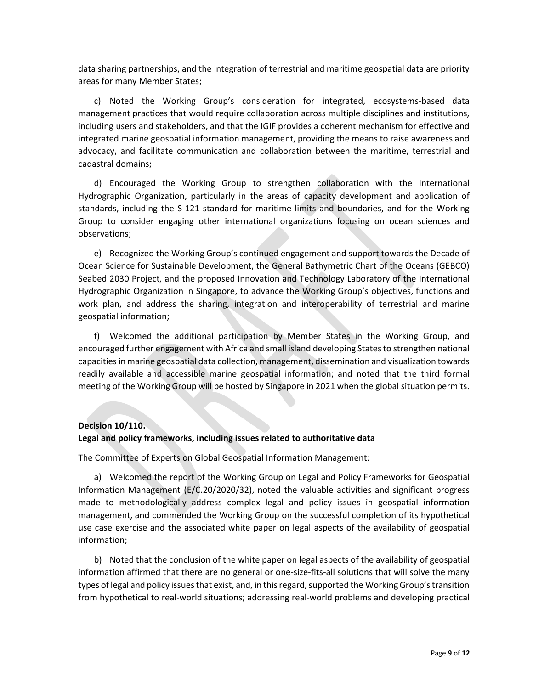data sharing partnerships, and the integration of terrestrial and maritime geospatial data are priority areas for many Member States;

c) Noted the Working Group's consideration for integrated, ecosystems-based data management practices that would require collaboration across multiple disciplines and institutions, including users and stakeholders, and that the IGIF provides a coherent mechanism for effective and integrated marine geospatial information management, providing the means to raise awareness and advocacy, and facilitate communication and collaboration between the maritime, terrestrial and cadastral domains;

d) Encouraged the Working Group to strengthen collaboration with the International Hydrographic Organization, particularly in the areas of capacity development and application of standards, including the S-121 standard for maritime limits and boundaries, and for the Working Group to consider engaging other international organizations focusing on ocean sciences and observations;

e) Recognized the Working Group's continued engagement and support towards the Decade of Ocean Science for Sustainable Development, the General Bathymetric Chart of the Oceans (GEBCO) Seabed 2030 Project, and the proposed Innovation and Technology Laboratory of the International Hydrographic Organization in Singapore, to advance the Working Group's objectives, functions and work plan, and address the sharing, integration and interoperability of terrestrial and marine geospatial information;

f) Welcomed the additional participation by Member States in the Working Group, and encouraged further engagement with Africa and small island developing States to strengthen national capacities in marine geospatial data collection, management, dissemination and visualization towards readily available and accessible marine geospatial information; and noted that the third formal meeting of the Working Group will be hosted by Singapore in 2021 when the global situation permits.

### Decision 10/110.

### Legal and policy frameworks, including issues related to authoritative data

The Committee of Experts on Global Geospatial Information Management:

a) Welcomed the report of the Working Group on Legal and Policy Frameworks for Geospatial Information Management (E/C.20/2020/32), noted the valuable activities and significant progress made to methodologically address complex legal and policy issues in geospatial information management, and commended the Working Group on the successful completion of its hypothetical use case exercise and the associated white paper on legal aspects of the availability of geospatial information;

b) Noted that the conclusion of the white paper on legal aspects of the availability of geospatial information affirmed that there are no general or one-size-fits-all solutions that will solve the many types of legal and policy issues that exist, and, in this regard, supported the Working Group's transition from hypothetical to real-world situations; addressing real-world problems and developing practical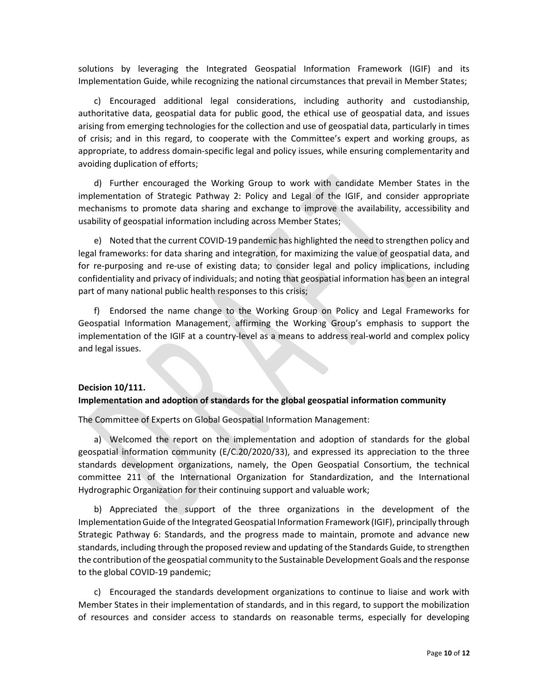solutions by leveraging the Integrated Geospatial Information Framework (IGIF) and its Implementation Guide, while recognizing the national circumstances that prevail in Member States;

c) Encouraged additional legal considerations, including authority and custodianship, authoritative data, geospatial data for public good, the ethical use of geospatial data, and issues arising from emerging technologies for the collection and use of geospatial data, particularly in times of crisis; and in this regard, to cooperate with the Committee's expert and working groups, as appropriate, to address domain-specific legal and policy issues, while ensuring complementarity and avoiding duplication of efforts;

d) Further encouraged the Working Group to work with candidate Member States in the implementation of Strategic Pathway 2: Policy and Legal of the IGIF, and consider appropriate mechanisms to promote data sharing and exchange to improve the availability, accessibility and usability of geospatial information including across Member States;

e) Noted that the current COVID-19 pandemic has highlighted the need to strengthen policy and legal frameworks: for data sharing and integration, for maximizing the value of geospatial data, and for re-purposing and re-use of existing data; to consider legal and policy implications, including confidentiality and privacy of individuals; and noting that geospatial information has been an integral part of many national public health responses to this crisis;

f) Endorsed the name change to the Working Group on Policy and Legal Frameworks for Geospatial Information Management, affirming the Working Group's emphasis to support the implementation of the IGIF at a country-level as a means to address real-world and complex policy and legal issues.

### Decision 10/111.

### Implementation and adoption of standards for the global geospatial information community

The Committee of Experts on Global Geospatial Information Management:

a) Welcomed the report on the implementation and adoption of standards for the global geospatial information community (E/C.20/2020/33), and expressed its appreciation to the three standards development organizations, namely, the Open Geospatial Consortium, the technical committee 211 of the International Organization for Standardization, and the International Hydrographic Organization for their continuing support and valuable work;

b) Appreciated the support of the three organizations in the development of the Implementation Guide of the Integrated Geospatial Information Framework (IGIF), principally through Strategic Pathway 6: Standards, and the progress made to maintain, promote and advance new standards, including through the proposed review and updating of the Standards Guide, to strengthen the contribution of the geospatial community to the Sustainable Development Goals and the response to the global COVID-19 pandemic;

c) Encouraged the standards development organizations to continue to liaise and work with Member States in their implementation of standards, and in this regard, to support the mobilization of resources and consider access to standards on reasonable terms, especially for developing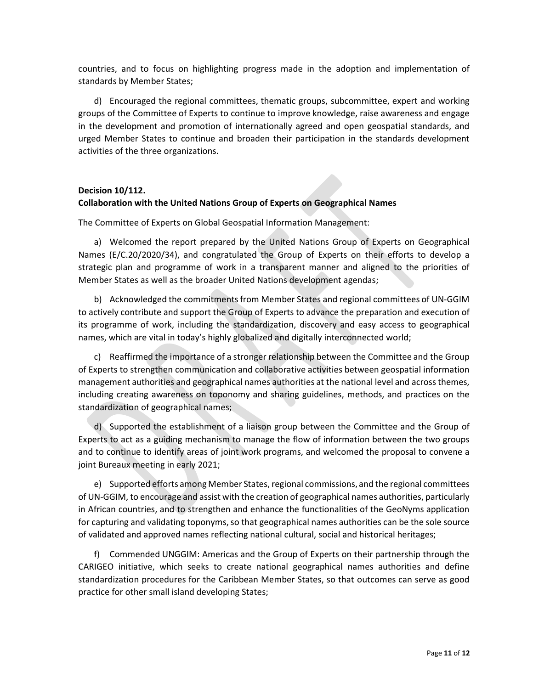countries, and to focus on highlighting progress made in the adoption and implementation of standards by Member States;

d) Encouraged the regional committees, thematic groups, subcommittee, expert and working groups of the Committee of Experts to continue to improve knowledge, raise awareness and engage in the development and promotion of internationally agreed and open geospatial standards, and urged Member States to continue and broaden their participation in the standards development activities of the three organizations.

### Decision 10/112.

### Collaboration with the United Nations Group of Experts on Geographical Names

The Committee of Experts on Global Geospatial Information Management:

a) Welcomed the report prepared by the United Nations Group of Experts on Geographical Names (E/C.20/2020/34), and congratulated the Group of Experts on their efforts to develop a strategic plan and programme of work in a transparent manner and aligned to the priorities of Member States as well as the broader United Nations development agendas;

b) Acknowledged the commitments from Member States and regional committees of UN-GGIM to actively contribute and support the Group of Experts to advance the preparation and execution of its programme of work, including the standardization, discovery and easy access to geographical names, which are vital in today's highly globalized and digitally interconnected world;

c) Reaffirmed the importance of a stronger relationship between the Committee and the Group of Experts to strengthen communication and collaborative activities between geospatial information management authorities and geographical names authorities at the national level and across themes, including creating awareness on toponomy and sharing guidelines, methods, and practices on the standardization of geographical names;

d) Supported the establishment of a liaison group between the Committee and the Group of Experts to act as a guiding mechanism to manage the flow of information between the two groups and to continue to identify areas of joint work programs, and welcomed the proposal to convene a joint Bureaux meeting in early 2021;

e) Supported efforts among Member States, regional commissions, and the regional committees of UN-GGIM, to encourage and assist with the creation of geographical names authorities, particularly in African countries, and to strengthen and enhance the functionalities of the GeoNyms application for capturing and validating toponyms, so that geographical names authorities can be the sole source of validated and approved names reflecting national cultural, social and historical heritages;

f) Commended UNGGIM: Americas and the Group of Experts on their partnership through the CARIGEO initiative, which seeks to create national geographical names authorities and define standardization procedures for the Caribbean Member States, so that outcomes can serve as good practice for other small island developing States;